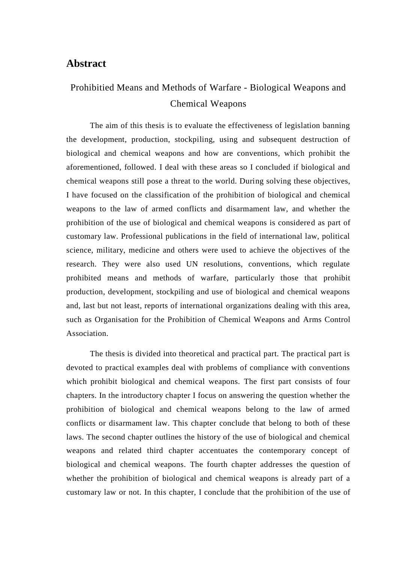## **Abstract**

## Prohibitied Means and Methods of Warfare - Biological Weapons and Chemical Weapons

The aim of this thesis is to evaluate the effectiveness of legislation banning the development, production, stockpiling, using and subsequent destruction of biological and chemical weapons and how are conventions, which prohibit the aforementioned, followed. I deal with these areas so I concluded if biological and chemical weapons still pose a threat to the world. During solving these objectives, I have focused on the classification of the prohibition of biological and chemical weapons to the law of armed conflicts and disarmament law, and whether the prohibition of the use of biological and chemical weapons is considered as part of customary law. Professional publications in the field of international law, political science, military, medicine and others were used to achieve the objectives of the research. They were also used UN resolutions, conventions, which regulate prohibited means and methods of warfare, particularly those that prohibit production, development, stockpiling and use of biological and chemical weapons and, last but not least, reports of international organizations dealing with this area, such as Organisation for the Prohibition of Chemical Weapons and Arms Control Association.

The thesis is divided into theoretical and practical part. The practical part is devoted to practical examples deal with problems of compliance with conventions which prohibit biological and chemical weapons. The first part consists of four chapters. In the introductory chapter I focus on answering the question whether the prohibition of biological and chemical weapons belong to the law of armed conflicts or disarmament law. This chapter conclude that belong to both of these laws. The second chapter outlines the history of the use of biological and chemical weapons and related third chapter accentuates the contemporary concept of biological and chemical weapons. The fourth chapter addresses the question of whether the prohibition of biological and chemical weapons is already part of a customary law or not. In this chapter, I conclude that the prohibition of the use of